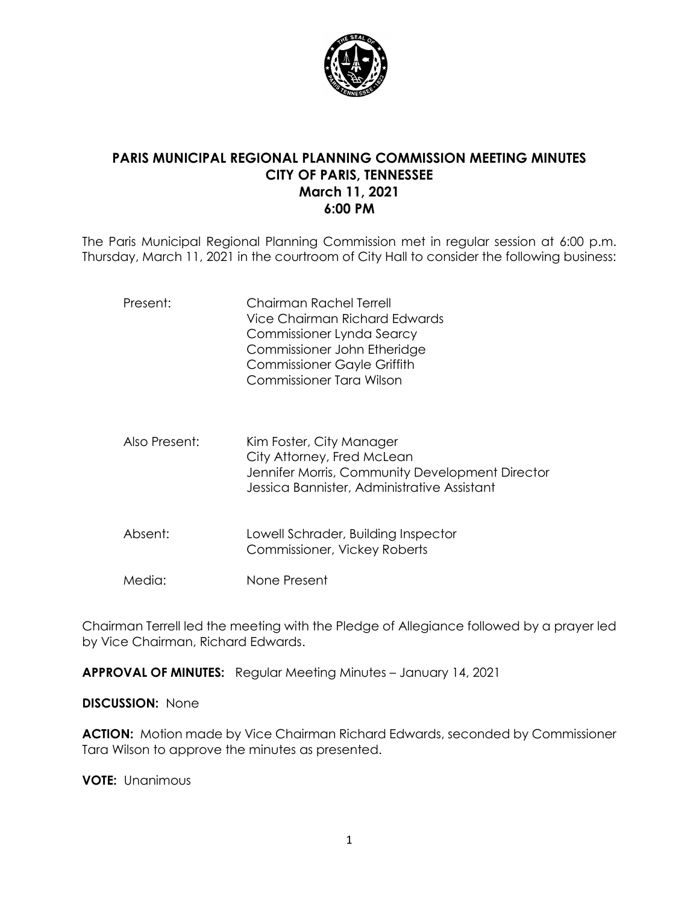

# **PARIS MUNICIPAL REGIONAL PLANNING COMMISSION MEETING MINUTES CITY OF PARIS, TENNESSEE March 11, 2021 6:00 PM**

The Paris Municipal Regional Planning Commission met in regular session at 6:00 p.m. Thursday, March 11, 2021 in the courtroom of City Hall to consider the following business:

| Present:      | Chairman Rachel Terrell<br>Vice Chairman Richard Edwards<br>Commissioner Lynda Searcy<br>Commissioner John Etheridge<br><b>Commissioner Gayle Griffith</b><br>Commissioner Tara Wilson |
|---------------|----------------------------------------------------------------------------------------------------------------------------------------------------------------------------------------|
| Also Present: | Kim Foster, City Manager<br>City Attorney, Fred McLean<br>Jennifer Morris, Community Development Director<br>Jessica Bannister, Administrative Assistant                               |
| Absent:       | Lowell Schrader, Building Inspector<br>Commissioner, Vickey Roberts                                                                                                                    |
| Media:        | None Present                                                                                                                                                                           |

Chairman Terrell led the meeting with the Pledge of Allegiance followed by a prayer led by Vice Chairman, Richard Edwards.

**APPROVAL OF MINUTES:** Regular Meeting Minutes – January 14, 2021

**DISCUSSION:** None

**ACTION:** Motion made by Vice Chairman Richard Edwards, seconded by Commissioner Tara Wilson to approve the minutes as presented.

**VOTE:** Unanimous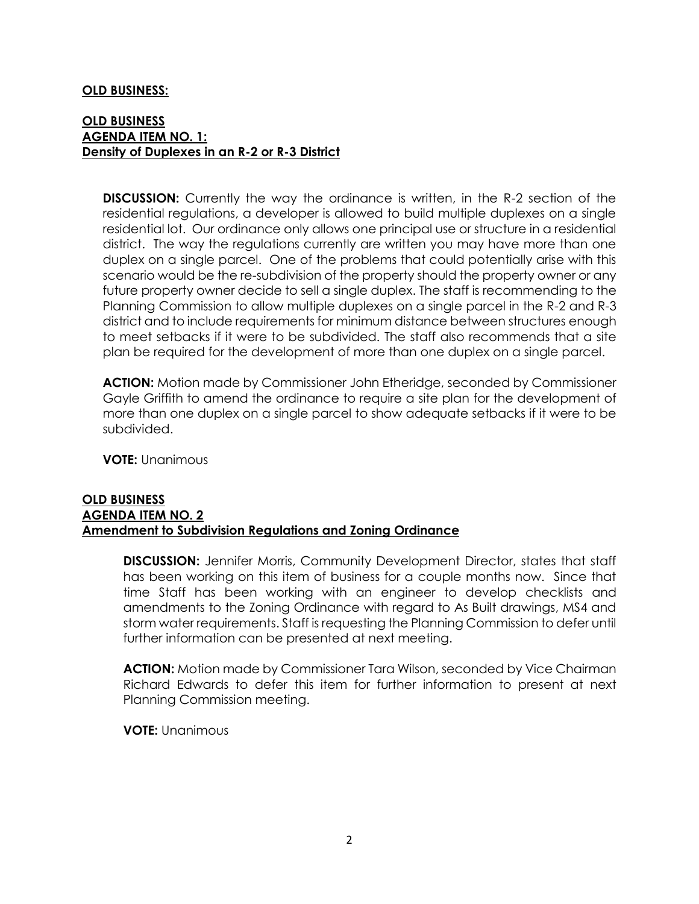### **OLD BUSINESS:**

# **OLD BUSINESS AGENDA ITEM NO. 1: Density of Duplexes in an R-2 or R-3 District**

**DISCUSSION:** Currently the way the ordinance is written, in the R-2 section of the residential regulations, a developer is allowed to build multiple duplexes on a single residential lot. Our ordinance only allows one principal use or structure in a residential district. The way the regulations currently are written you may have more than one duplex on a single parcel. One of the problems that could potentially arise with this scenario would be the re-subdivision of the property should the property owner or any future property owner decide to sell a single duplex. The staff is recommending to the Planning Commission to allow multiple duplexes on a single parcel in the R-2 and R-3 district and to include requirements for minimum distance between structures enough to meet setbacks if it were to be subdivided. The staff also recommends that a site plan be required for the development of more than one duplex on a single parcel.

**ACTION:** Motion made by Commissioner John Etheridge, seconded by Commissioner Gayle Griffith to amend the ordinance to require a site plan for the development of more than one duplex on a single parcel to show adequate setbacks if it were to be subdivided.

**VOTE:** Unanimous

# **OLD BUSINESS AGENDA ITEM NO. 2 Amendment to Subdivision Regulations and Zoning Ordinance**

**DISCUSSION:** Jennifer Morris, Community Development Director, states that staff has been working on this item of business for a couple months now. Since that time Staff has been working with an engineer to develop checklists and amendments to the Zoning Ordinance with regard to As Built drawings, MS4 and storm water requirements. Staff is requesting the Planning Commission to defer until further information can be presented at next meeting.

**ACTION:** Motion made by Commissioner Tara Wilson, seconded by Vice Chairman Richard Edwards to defer this item for further information to present at next Planning Commission meeting.

**VOTE:** Unanimous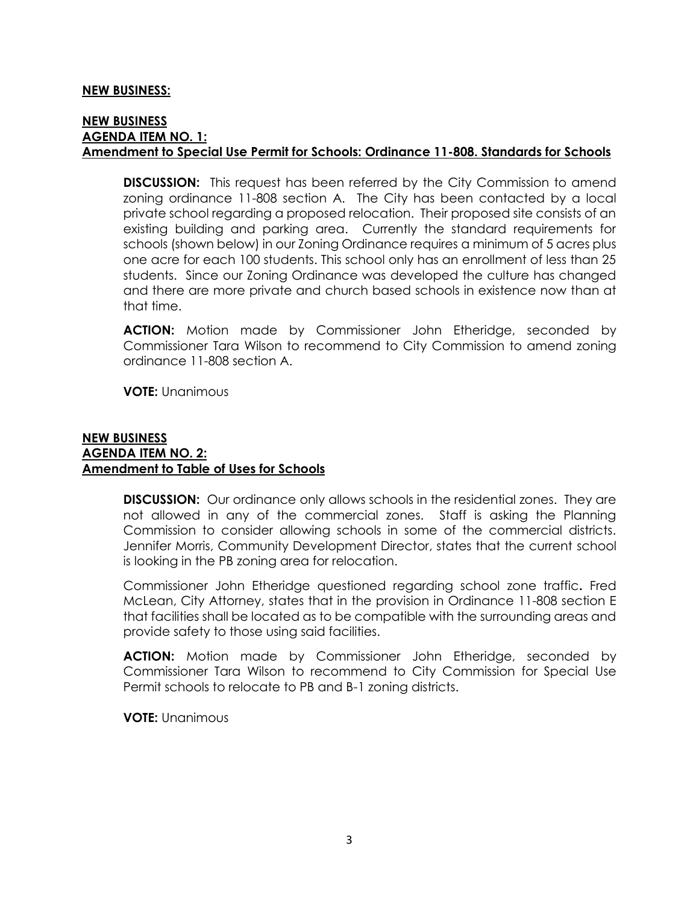#### **NEW BUSINESS:**

### **NEW BUSINESS AGENDA ITEM NO. 1: Amendment to Special Use Permit for Schools: Ordinance 11-808. Standards for Schools**

**DISCUSSION:** This request has been referred by the City Commission to amend zoning ordinance 11-808 section A. The City has been contacted by a local private school regarding a proposed relocation. Their proposed site consists of an existing building and parking area. Currently the standard requirements for schools (shown below) in our Zoning Ordinance requires a minimum of 5 acres plus one acre for each 100 students. This school only has an enrollment of less than 25 students. Since our Zoning Ordinance was developed the culture has changed and there are more private and church based schools in existence now than at that time.

**ACTION:** Motion made by Commissioner John Etheridge, seconded by Commissioner Tara Wilson to recommend to City Commission to amend zoning ordinance 11-808 section A.

**VOTE:** Unanimous

#### **NEW BUSINESS AGENDA ITEM NO. 2: Amendment to Table of Uses for Schools**

**DISCUSSION:** Our ordinance only allows schools in the residential zones. They are not allowed in any of the commercial zones. Staff is asking the Planning Commission to consider allowing schools in some of the commercial districts. Jennifer Morris, Community Development Director, states that the current school is looking in the PB zoning area for relocation.

Commissioner John Etheridge questioned regarding school zone traffic**.** Fred McLean, City Attorney, states that in the provision in Ordinance 11-808 section E that facilities shall be located as to be compatible with the surrounding areas and provide safety to those using said facilities.

**ACTION:** Motion made by Commissioner John Etheridge, seconded by Commissioner Tara Wilson to recommend to City Commission for Special Use Permit schools to relocate to PB and B-1 zoning districts.

**VOTE:** Unanimous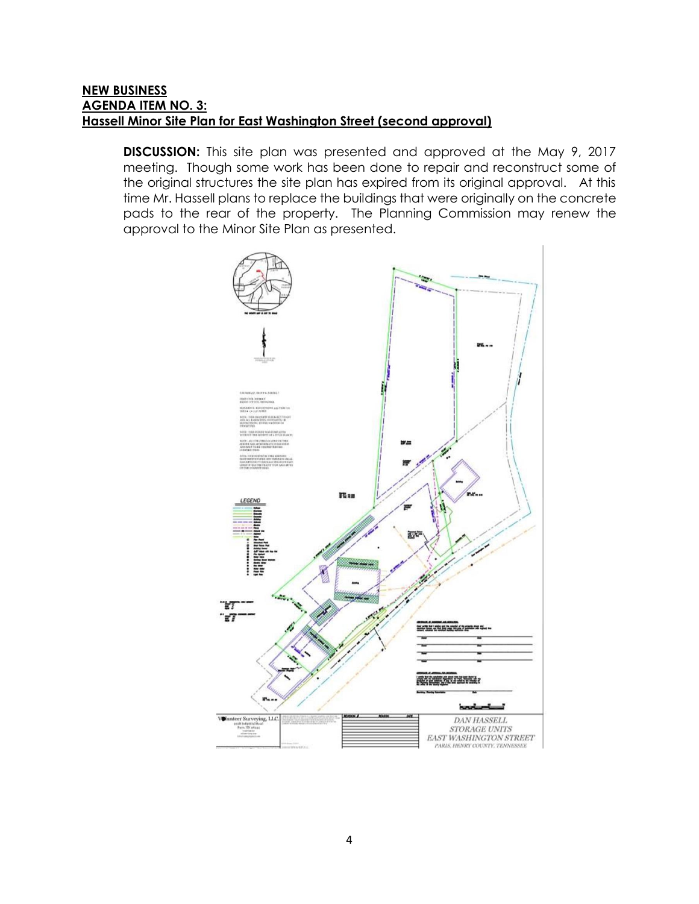# **NEW BUSINESS AGENDA ITEM NO. 3: Hassell Minor Site Plan for East Washington Street (second approval)**

**DISCUSSION:** This site plan was presented and approved at the May 9, 2017 meeting. Though some work has been done to repair and reconstruct some of the original structures the site plan has expired from its original approval. At this time Mr. Hassell plans to replace the buildings that were originally on the concrete pads to the rear of the property. The Planning Commission may renew the approval to the Minor Site Plan as presented.